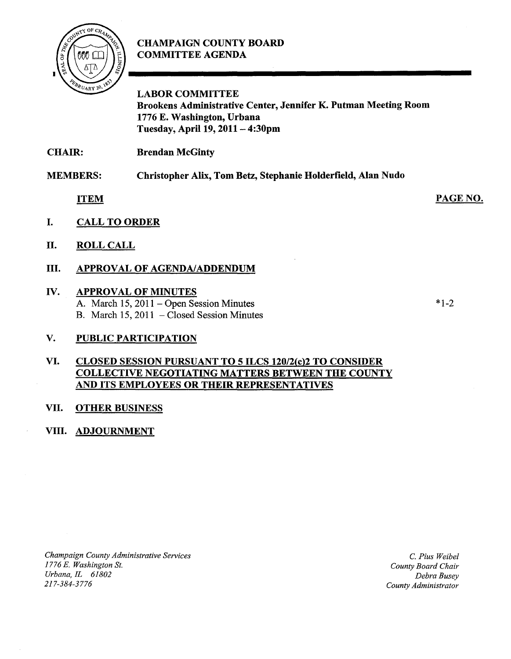# **CHAMPAIGN COUNTY BOARD COMMITTEE AGENDA**



**LABOR COMMITTEE Brookens Administrative Center, Jennifer K. Putman Meeting Room 1776 E. Washington, Urbana Tuesday,** April 19, **2011 - 4:30pm** 

**MEMBERS: Christopher Alix, Tom Betz, Stephanie Holderfield, Alan Nudo** 

**ITEM** 

- **I. CALL TO ORDER**
- **II. ROLL CALL**

# **III. APPROVAL OF AGENDA/ADDENDUM**

# **IV. APPROVAL OF MINUTES**

A. March 15, 2011 - Open Session Minutes B. March 15, 2011 - Closed Session Minutes

## **V. PUBLIC PARTICIPATION**

#### **VI. CLOSED SESSION PURSUANT TO 5 ILCS 120/2(c)2 TO CONSIDER COLLECTIVE NEGOTIATING MATTERS BETWEEN THE COUNTY AND ITS EMPLOYEES OR THEIR REPRESENTATIVES**

## **VII. OTHER BUSINESS**

## **VIII. ADJOURNMENT**

*Champaign County Administrative Services 1776 E. Washington St. Urbana,IL 61802*  217-384-3776

C. *Pius Weibel County Board Chair Debra Busey County Administrator* 

\*1-2

PAGE NO.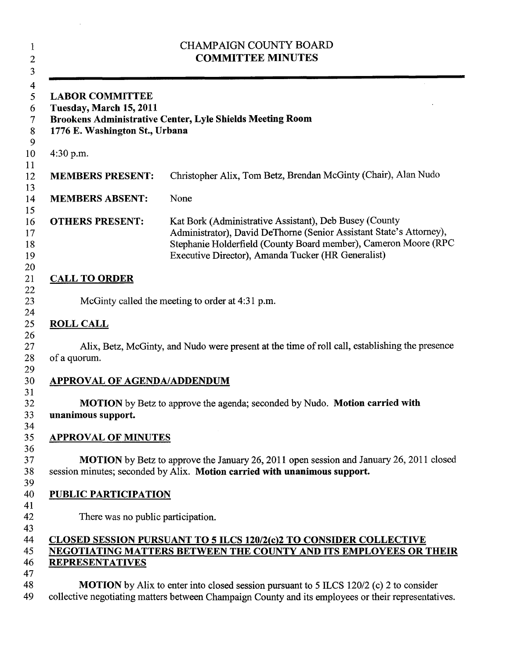| $\mathbf{1}$<br>$\overline{c}$<br>3                                                                                   | <b>CHAMPAIGN COUNTY BOARD</b><br><b>COMMITTEE MINUTES</b>                                                                                                                                                                                              |
|-----------------------------------------------------------------------------------------------------------------------|--------------------------------------------------------------------------------------------------------------------------------------------------------------------------------------------------------------------------------------------------------|
| 4<br>5<br><b>LABOR COMMITTEE</b><br>Tuesday, March 15, 2011<br>6<br>7<br>1776 E. Washington St., Urbana<br>$8\,$<br>9 | <b>Brookens Administrative Center, Lyle Shields Meeting Room</b>                                                                                                                                                                                       |
| 10<br>4:30 p.m.<br>11                                                                                                 |                                                                                                                                                                                                                                                        |
| <b>MEMBERS PRESENT:</b>                                                                                               | Christopher Alix, Tom Betz, Brendan McGinty (Chair), Alan Nudo                                                                                                                                                                                         |
| <b>MEMBERS ABSENT:</b>                                                                                                | None                                                                                                                                                                                                                                                   |
| 15<br>16<br><b>OTHERS PRESENT:</b><br>17<br>18<br>19<br>20                                                            | Kat Bork (Administrative Assistant), Deb Busey (County<br>Administrator), David DeThorne (Senior Assistant State's Attorney),<br>Stephanie Holderfield (County Board member), Cameron Moore (RPC<br>Executive Director), Amanda Tucker (HR Generalist) |
| <b>CALL TO ORDER</b>                                                                                                  |                                                                                                                                                                                                                                                        |
|                                                                                                                       | McGinty called the meeting to order at 4:31 p.m.                                                                                                                                                                                                       |
| <b>ROLL CALL</b>                                                                                                      |                                                                                                                                                                                                                                                        |
| of a quorum.                                                                                                          | Alix, Betz, McGinty, and Nudo were present at the time of roll call, establishing the presence                                                                                                                                                         |
| <b>APPROVAL OF AGENDA/ADDENDUM</b>                                                                                    |                                                                                                                                                                                                                                                        |
| unanimous support.                                                                                                    | <b>MOTION</b> by Betz to approve the agenda; seconded by Nudo. Motion carried with                                                                                                                                                                     |
| <b>APPROVAL OF MINUTES</b>                                                                                            |                                                                                                                                                                                                                                                        |
|                                                                                                                       | <b>MOTION</b> by Betz to approve the January 26, 2011 open session and January 26, 2011 closed<br>session minutes; seconded by Alix. Motion carried with unanimous support.                                                                            |
| <b>PUBLIC PARTICIPATION</b>                                                                                           |                                                                                                                                                                                                                                                        |
| There was no public participation.                                                                                    |                                                                                                                                                                                                                                                        |
| <b>REPRESENTATIVES</b>                                                                                                | <b>CLOSED SESSION PURSUANT TO 5 ILCS 120/2(c)2 TO CONSIDER COLLECTIVE</b><br>NEGOTIATING MATTERS BETWEEN THE COUNTY AND ITS EMPLOYEES OR THEIR                                                                                                         |
|                                                                                                                       | <b>MOTION</b> by Alix to enter into closed session pursuant to 5 ILCS 120/2 (c) 2 to consider<br>collective negotiating matters between Champaign County and its employees or their representatives.                                                   |

 $\label{eq:2.1} \frac{1}{\sqrt{2}}\int_{\mathbb{R}^3}\frac{1}{\sqrt{2}}\left(\frac{1}{\sqrt{2}}\right)^2\frac{1}{\sqrt{2}}\left(\frac{1}{\sqrt{2}}\right)^2\frac{1}{\sqrt{2}}\left(\frac{1}{\sqrt{2}}\right)^2\frac{1}{\sqrt{2}}\left(\frac{1}{\sqrt{2}}\right)^2.$